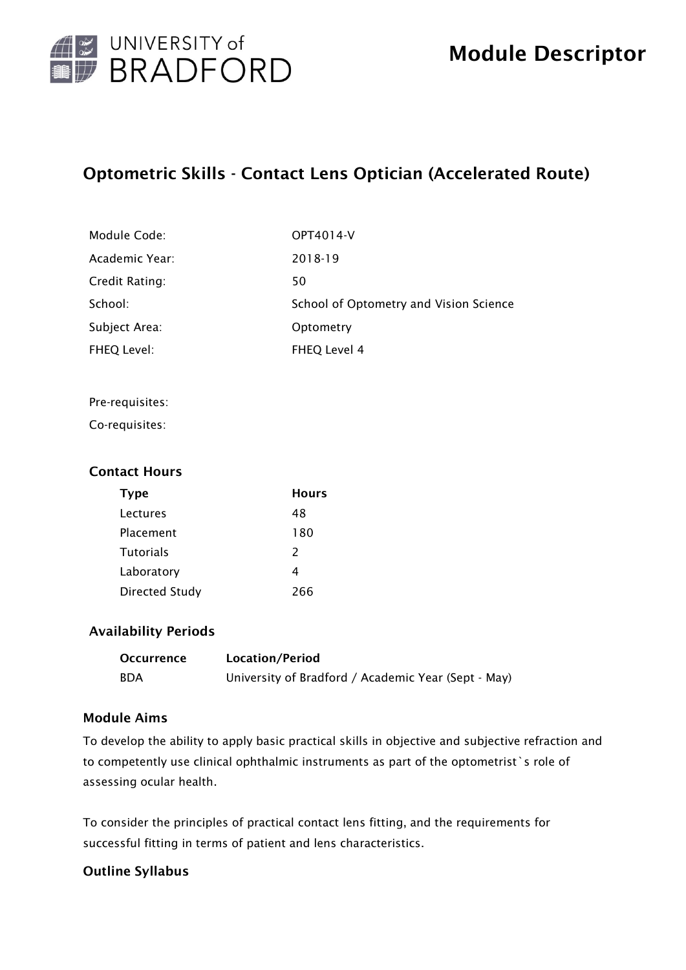

## Optometric Skills - Contact Lens Optician (Accelerated Route)

| Module Code:   | OPT4014-V                              |
|----------------|----------------------------------------|
| Academic Year: | 2018-19                                |
| Credit Rating: | 50                                     |
| School:        | School of Optometry and Vision Science |
| Subject Area:  | Optometry                              |
| FHEQ Level:    | FHEQ Level 4                           |

#### Pre-requisites:

Co-requisites:

### Contact Hours

| Type                  | <b>Hours</b>  |
|-----------------------|---------------|
| Lectures              | 48            |
| Placement             | 180           |
| <b>Tutorials</b>      | $\mathcal{P}$ |
| Laboratory            | 4             |
| <b>Directed Study</b> | วคค           |

### Availability Periods

| <b>Occurrence</b> | Location/Period                                     |
|-------------------|-----------------------------------------------------|
| <b>BDA</b>        | University of Bradford / Academic Year (Sept - May) |

## Module Aims

To develop the ability to apply basic practical skills in objective and subjective refraction and to competently use clinical ophthalmic instruments as part of the optometrist`s role of assessing ocular health.

To consider the principles of practical contact lens fitting, and the requirements for successful fitting in terms of patient and lens characteristics.

## Outline Syllabus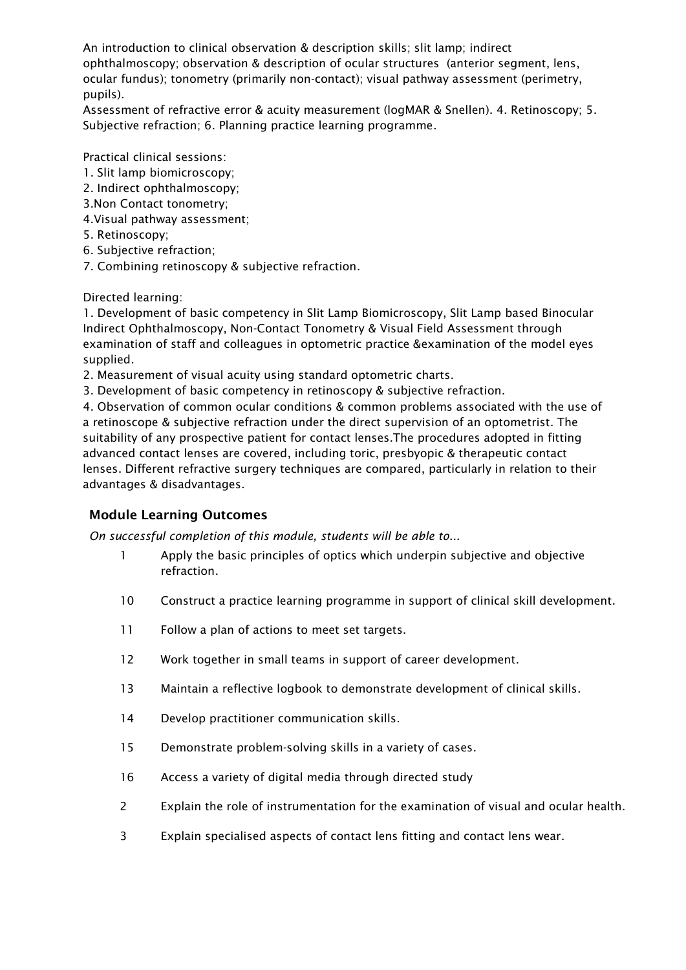An introduction to clinical observation & description skills; slit lamp; indirect ophthalmoscopy; observation & description of ocular structures (anterior segment, lens, ocular fundus); tonometry (primarily non-contact); visual pathway assessment (perimetry, pupils).

Assessment of refractive error & acuity measurement (logMAR & Snellen). 4. Retinoscopy; 5. Subjective refraction; 6. Planning practice learning programme.

Practical clinical sessions:

- 1. Slit lamp biomicroscopy;
- 2. Indirect ophthalmoscopy;
- 3.Non Contact tonometry;
- 4.Visual pathway assessment;
- 5. Retinoscopy;
- 6. Subjective refraction;
- 7. Combining retinoscopy & subjective refraction.

Directed learning:

1. Development of basic competency in Slit Lamp Biomicroscopy, Slit Lamp based Binocular Indirect Ophthalmoscopy, Non-Contact Tonometry & Visual Field Assessment through examination of staff and colleagues in optometric practice &examination of the model eyes supplied.

2. Measurement of visual acuity using standard optometric charts.

3. Development of basic competency in retinoscopy & subjective refraction.

4. Observation of common ocular conditions & common problems associated with the use of a retinoscope & subjective refraction under the direct supervision of an optometrist. The suitability of any prospective patient for contact lenses.The procedures adopted in fitting advanced contact lenses are covered, including toric, presbyopic & therapeutic contact lenses. Different refractive surgery techniques are compared, particularly in relation to their advantages & disadvantages.

## Module Learning Outcomes

*On successful completion of this module, students will be able to...*

- 1 Apply the basic principles of optics which underpin subjective and objective refraction.
- 10 Construct a practice learning programme in support of clinical skill development.
- 11 Follow a plan of actions to meet set targets.
- 12 Work together in small teams in support of career development.
- 13 Maintain a reflective logbook to demonstrate development of clinical skills.
- 14 Develop practitioner communication skills.
- 15 Demonstrate problem-solving skills in a variety of cases.
- 16 Access a variety of digital media through directed study
- 2 Explain the role of instrumentation for the examination of visual and ocular health.
- 3 Explain specialised aspects of contact lens fitting and contact lens wear.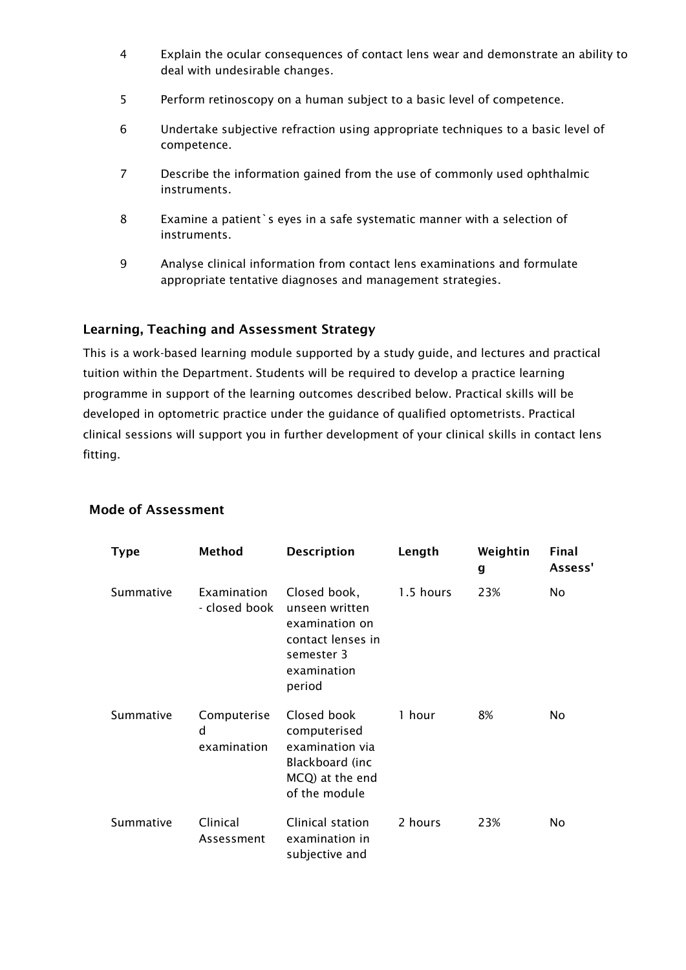- 4 Explain the ocular consequences of contact lens wear and demonstrate an ability to deal with undesirable changes.
- 5 Perform retinoscopy on a human subject to a basic level of competence.
- 6 Undertake subjective refraction using appropriate techniques to a basic level of competence.
- 7 Describe the information gained from the use of commonly used ophthalmic instruments.
- 8 Examine a patient`s eyes in a safe systematic manner with a selection of instruments.
- 9 Analyse clinical information from contact lens examinations and formulate appropriate tentative diagnoses and management strategies.

#### Learning, Teaching and Assessment Strategy

This is a work-based learning module supported by a study guide, and lectures and practical tuition within the Department. Students will be required to develop a practice learning programme in support of the learning outcomes described below. Practical skills will be developed in optometric practice under the guidance of qualified optometrists. Practical clinical sessions will support you in further development of your clinical skills in contact lens fitting.

| <b>Type</b> | Method                          | <b>Description</b>                                                                                           | Length    | Weightin<br>g | Final<br>Assess' |
|-------------|---------------------------------|--------------------------------------------------------------------------------------------------------------|-----------|---------------|------------------|
| Summative   | Examination<br>- closed book    | Closed book,<br>unseen written<br>examination on<br>contact lenses in<br>semester 3<br>examination<br>period | 1.5 hours | 23%           | No               |
| Summative   | Computerise<br>d<br>examination | Closed book<br>computerised<br>examination via<br>Blackboard (inc<br>MCQ) at the end<br>of the module        | 1 hour    | 8%            | No               |
| Summative   | Clinical<br>Assessment          | Clinical station<br>examination in<br>subjective and                                                         | 2 hours   | 23%           | No               |

#### Mode of Assessment